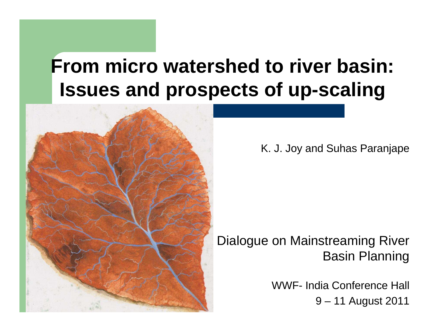# **From micro watershed to river basin: Issues and prospects of up-scaling**



K. J. Joy and Suhas Paranjape

#### Dialogue on Mainstreaming River Basin Planning

WWF- India Conference Hall 9 – 11 August 2011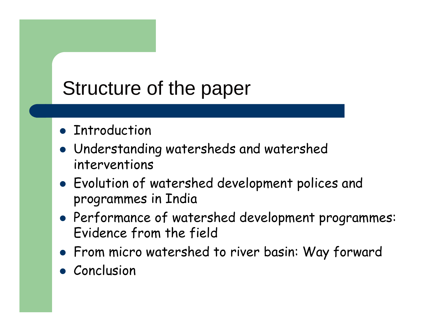# Structure of the paper

- **Introduction**
- Understanding watersheds and watershed interventions
- Evolution of watershed development polices and programmes in India
- Performance of watershed development programmes: Evidence from the field
- From micro watershed to river basin: Way forward
- Conclusion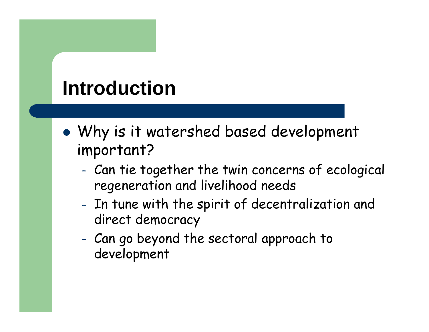# **Introduction**

- $\bullet$  Why is it watershed based development important?
	- Can tie together the twin concerns of ecological regeneration and livelihood needs
	- – In tune with the spirit of decentralization and direct democracy
	- – Can go beyond the sectoral approach to development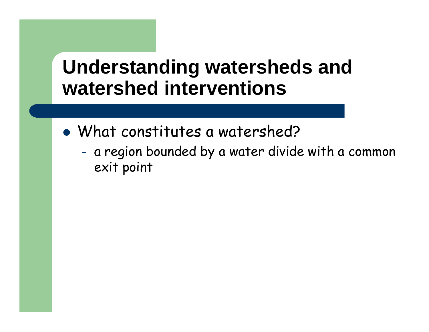#### **Understanding watersheds and watershed interventions**

- $\bullet$  What constitutes a watershed?
	- – a region bounded by a water divide with a common exit point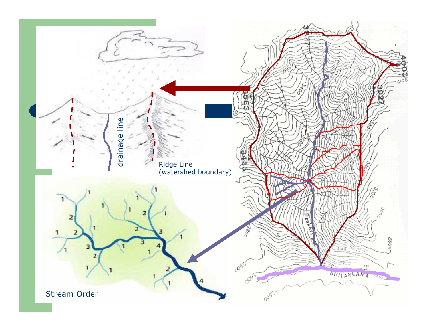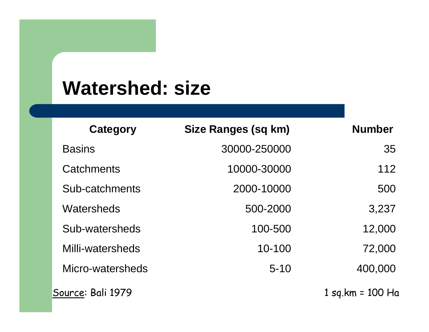### **Watershed: size**

| Category          | <b>Size Ranges (sq km)</b> | <b>Number</b>    |
|-------------------|----------------------------|------------------|
| <b>Basins</b>     | 30000-250000               | 35               |
| Catchments        | 10000-30000                | 112              |
| Sub-catchments    | 2000-10000                 | 500              |
| Watersheds        | 500-2000                   | 3,237            |
| Sub-watersheds    | 100-500                    | 12,000           |
| Milli-watersheds  | 10-100                     | 72,000           |
| Micro-watersheds  | $5 - 10$                   | 400,000          |
| Source: Bali 1979 |                            | 1 sg.km = 100 Ha |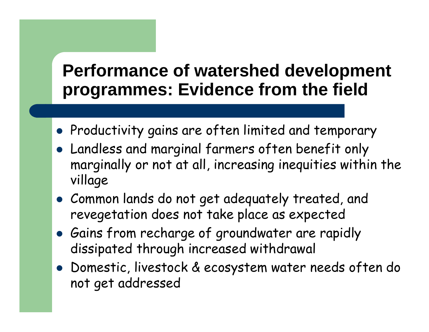#### **Performance of watershed development programmes: Evidence from the field**

- $\bullet$  Productivity gains are often limited and temporary
- Landless and marginal farmers often benefit only marginally or not at all, increasing inequities within the village
- Common lands do not get adequately treated, and revegetation does not take place as expected
- Gains from recharge of groundwater are rapidly dissipated through increased withdrawal
- Domestic, livestock & ecosystem water needs often do not get addressed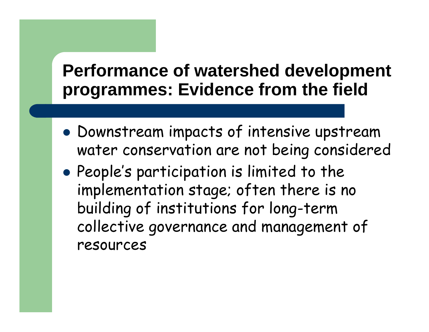#### **Performance of watershed development programmes: Evidence from the field**

- $\bullet$  Downstream impacts of intensive upstream water conservation are not being considered
- $\bullet$  People's participation is limited to the implementation stage; often there is no building of institutions for long-term collective governance and management of resources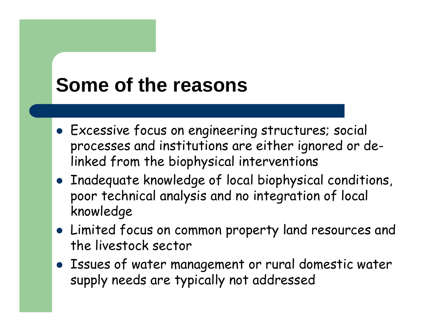# **Some of the reasons**

- **Excessive focus on engineering structures; social** processes and institutions are either ignored or delinked from the biophysical interventions
- Inadequate knowledge of local biophysical conditions, poor technical analysis and no integration of local knowledge
- Limited focus on common property land resources andthe livestock sector
- Issues of water management or rural domestic water supply needs are typically not addressed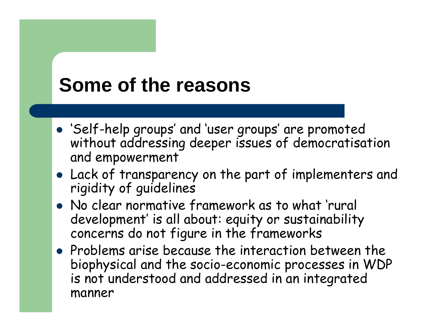# **Some of the reasons**

- 'Self-help groups' and 'user groups' are promoted without addressing deeper issues of democratisationand empowerment
- Lack of transparency on the part of implementers and rigidity of guidelines
- No clear normative framework as to what 'rural development' is all about: equity or sustainability concerns do not figure in the frameworks
- Problems arise because the interaction between the biophysical and the socio-economic processes in WDPis not understood and addressed in an integrated manner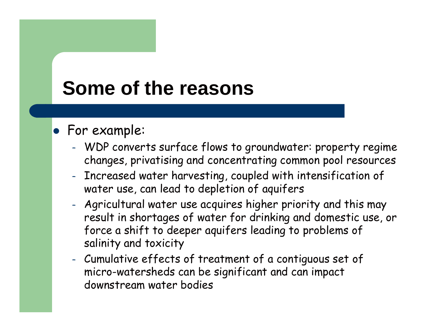# **Some of the reasons**

#### For example:

- – WDP converts surface flows to groundwater: property regime changes, privatising and concentrating common pool resources
- – Increased water harvesting, coupled with intensification of water use, can lead to depletion of aquifers
- – Agricultural water use acquires higher priority and this may result in shortages of water for drinking and domestic use, or force a shift to deeper aquifers leading to problems of salinity and toxicity
- – Cumulative effects of treatment of a contiguous set of micro-watersheds can be significant and can impact downstream water bodies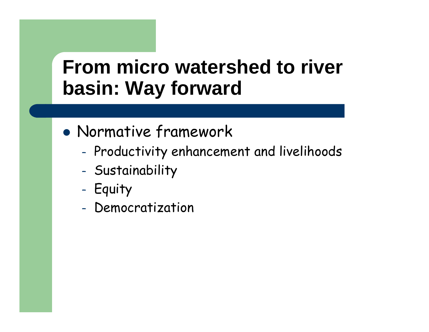### **From micro watershed to river basin: Way forward**

- $\bullet$  Normative framework
	- –- Productivity enhancement and livelihoods
	- –Sustainability
	- –- Equity
	- –- Democratization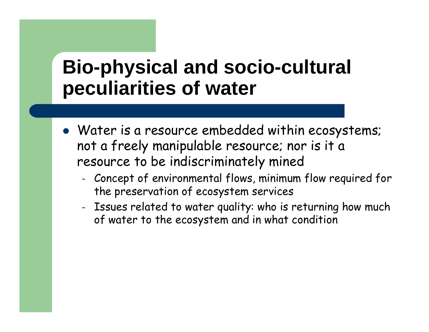#### **Bio-physical and socio-cultural peculiarities of water**

- Water is a resource embedded within ecosystems; not a freely manipulable resource; nor is it a resource to be indiscriminately mined
	- – Concept of environmental flows, minimum flow required for the preservation of ecosystem services
	- – Issues related to water quality: who is returning how much of water to the ecosystem and in what condition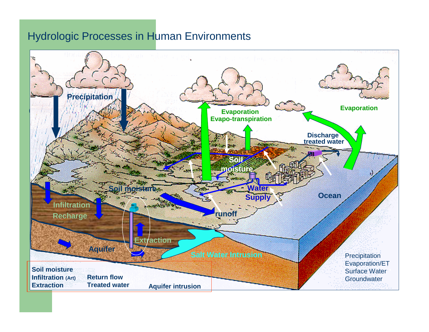#### Hydrologic Processes in Human Environments

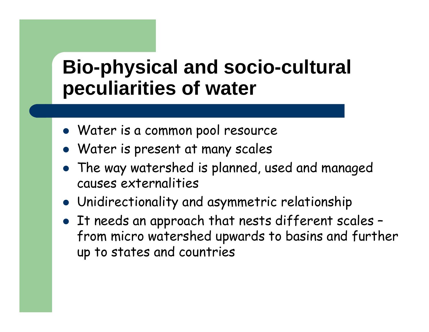### **Bio-physical and socio-cultural peculiarities of water**

- Water is a common pool resource
- Water is present at many scales
- The way watershed is planned, used and managed causes externalities
- Unidirectionality and asymmetric relationship
- It needs an approach that nests different scales from micro watershed upwards to basins and further up to states and countries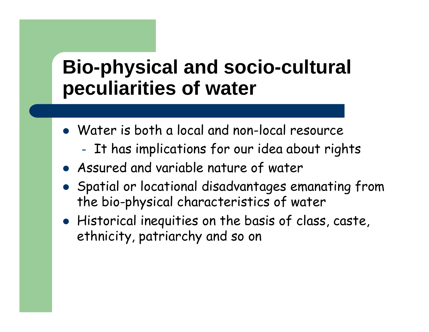### **Bio-physical and socio-cultural peculiarities of water**

- Water is both a local and non-local resource
	- –It has implications for our idea about rights
- Assured and variable nature of water
- Spatial or locational disadvantages emanating from the bio-physical characteristics of water
- Historical inequities on the basis of class, caste, ethnicity, patriarchy and so on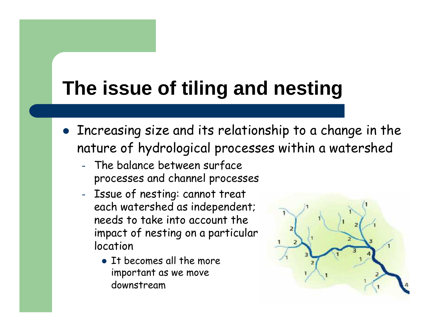# **The issue of tiling and nesting**

- Increasing size and its relationship to a change in the nature of hydrological processes within a watershed
	- – The balance between surface processes and channel processes
	- – Issue of nesting: cannot treat each watershed as independent; needs to take into account the impact of nesting on a particular location
		- It becomes all the more important as we move downstream

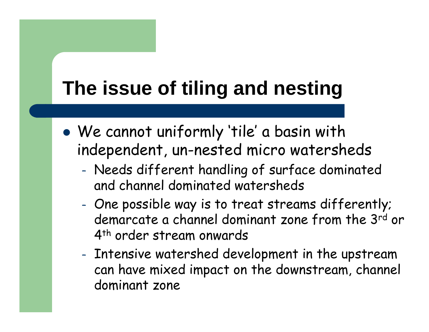# **The issue of tiling and nesting**

- $\bullet$  We cannot uniformly 'tile' a basin with independent, un-nested micro watersheds
	- Needs different handling of surface dominated and channel dominated watersheds
	- – One possible way is to treat streams differently; demarcate a channel dominant zone from the 3<sup>rd</sup> or 4<sup>th</sup> order stream onwards
	- – Intensive watershed development in the upstream can have mixed impact on the downstream, channel dominant zone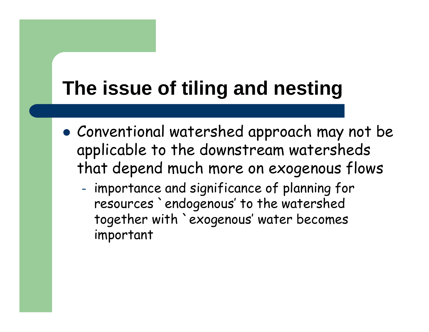# **The issue of tiling and nesting**

- $\bullet$  Conventional watershed approach may not be applicable to the downstream watersheds that depend much more on exogenous flows
	- – importance and significance of planning for resources `endogenous' to the watershed together with `exogenous' water becomes important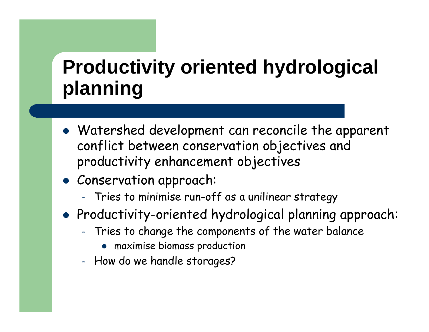# **Productivity oriented hydrological planning**

- Watershed development can reconcile the apparent conflict between conservation objectives and productivity enhancement objectives
- Conservation approach:
	- –Tries to minimise run-off as a unilinear strategy
- $\bullet$  Productivity-oriented hydrological planning approach:
	- – Tries to change the components of the water balance
		- $\bullet$ maximise biomass production
	- –- How do we handle storages?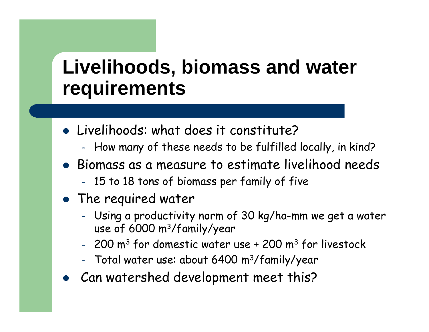#### **Livelihoods, biomass and water requirements**

- Livelihoods: what does it constitute?
	- –- How many of these needs to be fulfilled locally, in kind?
- Biomass as a measure to estimate livelihood needs
	- –15 to 18 tons of biomass per family of five
- **•** The required water
	- – Using a productivity norm of 30 kg/ha-mm we get a water use of 6000 m3/family/year
	- $-$  200 ms for d  $-$  200 m $^3$  for domestic water use + 200 m $^3$  for livestock
	- Total water use: about 6400 m<sup>3</sup>/family - Total water use: about 6400 m<sup>3</sup>/family/year
- Can watershed development meet this? $\bullet$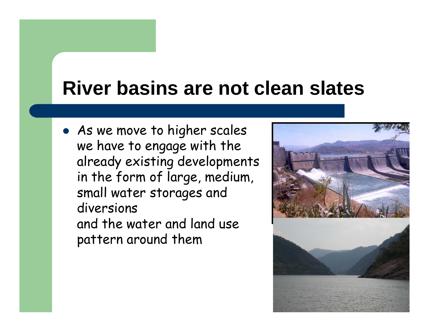### **River basins are not clean slates**

• As we move to higher scales we have to engage with the already existing developments in the form of large, medium, small water storages and diversions and the water and land use pattern around them

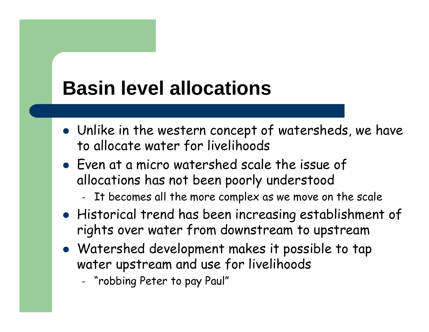# **Basin level allocations**

- Unlike in the western concept of watersheds, we have to allocate water for livelihoods
- Even at a micro watershed scale the issue of allocations has not been poorly understood
	- –It becomes all the more complex as we move on the scale
- Historical trend has been increasing establishment of rights over water from downstream to upstream
- Watershed development makes it possible to tap water upstream and use for livelihoods
	- –"robbing Peter to pay Paul"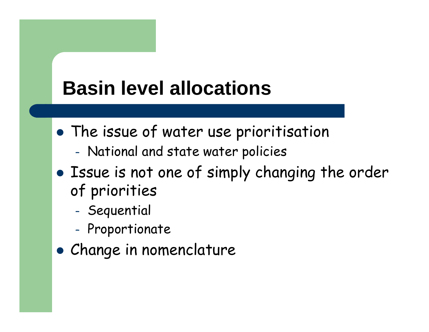# **Basin level allocations**

- $\bullet$  The issue of water use prioritisation
	- –National and state water policies
- $\bullet$  Issue is not one of simply changing the order of priorities
	- –- Sequential
	- –- Proportionate
- $\bullet$ Change in nomenclature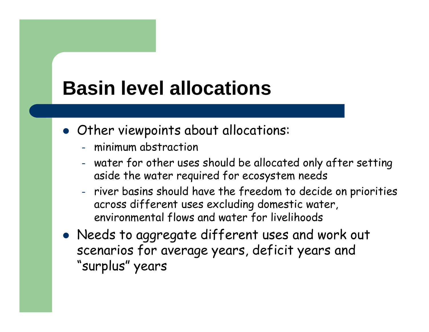# **Basin level allocations**

- Other viewpoints about allocations:
	- –minimum abstraction
	- – water for other uses should be allocated only after settingaside the water required for ecosystem needs
	- – river basins should have the freedom to decide on priorities across different uses excluding domestic water, environmental flows and water for livelihoods
- Needs to aggregate different uses and work out scenarios for average years, deficit years and "surplus" years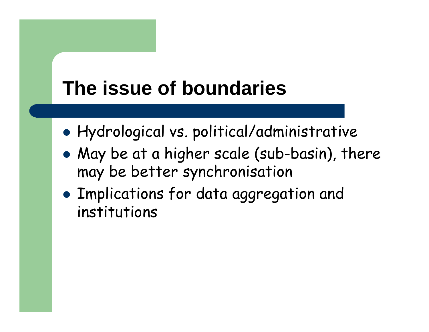# **The issue of boundaries**

- $\bullet$ Hydrological vs. political/administrative
- $\bullet$  May be at a higher scale (sub-basin), there may be better synchronisation
- $\bullet$  Implications for data aggregation and institutions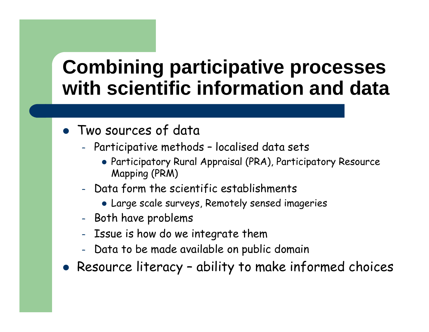## **Combining participative processes with scientific information and data**

- Two sources of data
	- – Participative methods – localised data sets
		- Participatory Rural Appraisal (PRA), Participatory Resource Mapping (PRM)
	- –-  $\,$  Data form the scientific establishments
		- Large scale surveys, Remotely sensed imageries
	- –- Both have problems
	- –- Issue is how do we integrate them
	- $\sim$ Data to be made available on public domain
- Resource literacy ability to make informed choices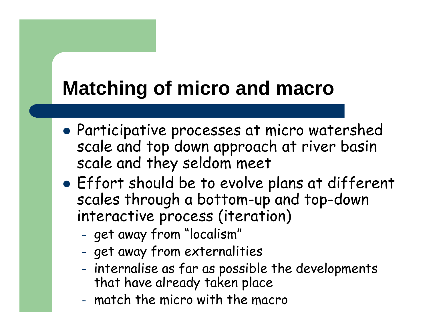# **Matching of micro and macro**

- $\bullet$  Participative processes at micro watershed scale and top down approach at river basin scale and they seldom meet
- $\bullet$  Effort should be to evolve plans at different scales through a bottom-up and top-down interactive process (iteration)
	- –- get away from "localism"
	- –get away from externalities
	- – internalise as far as possible the developments that have already taken place
	- –match the micro with the macro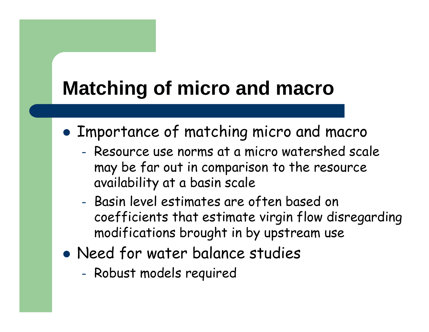# **Matching of micro and macro**

- $\bullet$  Importance of matching micro and macro
	- – Resource use norms at a micro watershed scale may be far out in comparison to the resource availability at a basin scale
	- – Basin level estimates are often based on coefficients that estimate virgin flow disregardingmodifications brought in by upstream use
- $\bullet$  Need for water balance studies
	- –Robust models required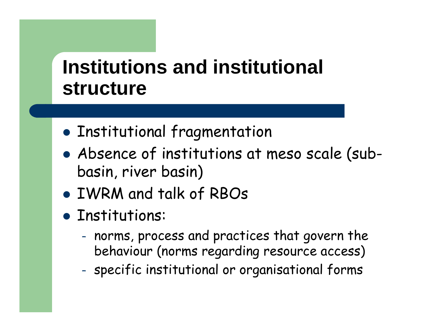## **Institutions and institutional structure**

- $\bullet$ Institutional fragmentation
- $\bullet$  Absence of institutions at meso scale (subbasin, river basin)
- $\bullet$ IWRM and talk of RBOs
- Institutions:
	- –- norms, process and practices that govern the behaviour (norms regarding resource access)
	- –specific institutional or organisational forms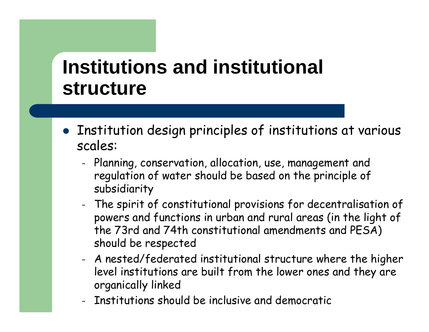### **Institutions and institutional structure**

- Institution design principles of institutions at various scales:
	- –- Planning, conservation, allocation, use, management and regulation of water should be based on the principle of subsidiarity
	- – The spirit of constitutional provisions for decentralisation of powers and functions in urban and rural areas (in the light of the 73rd and 74th constitutional amendments and PESA) should be respected
	- – A nested/federated institutional structure where the higher level institutions are built from the lower ones and they are organically linked
	- Institutions should be inclusive and democratic–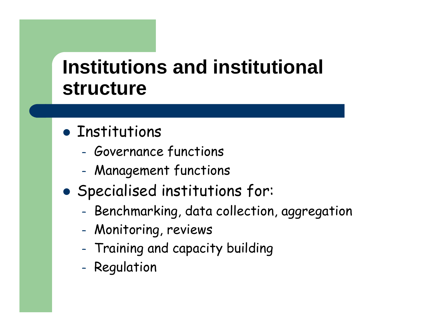## **Institutions and institutional structure**

# **• Institutions**

- –Governance functions
- –Management functions
- $\bullet$  Specialised institutions for:
	- Benchmarking, data collection, aggregation
	- –Monitoring, reviews
	- Training and capacity building
	- –- Regulation